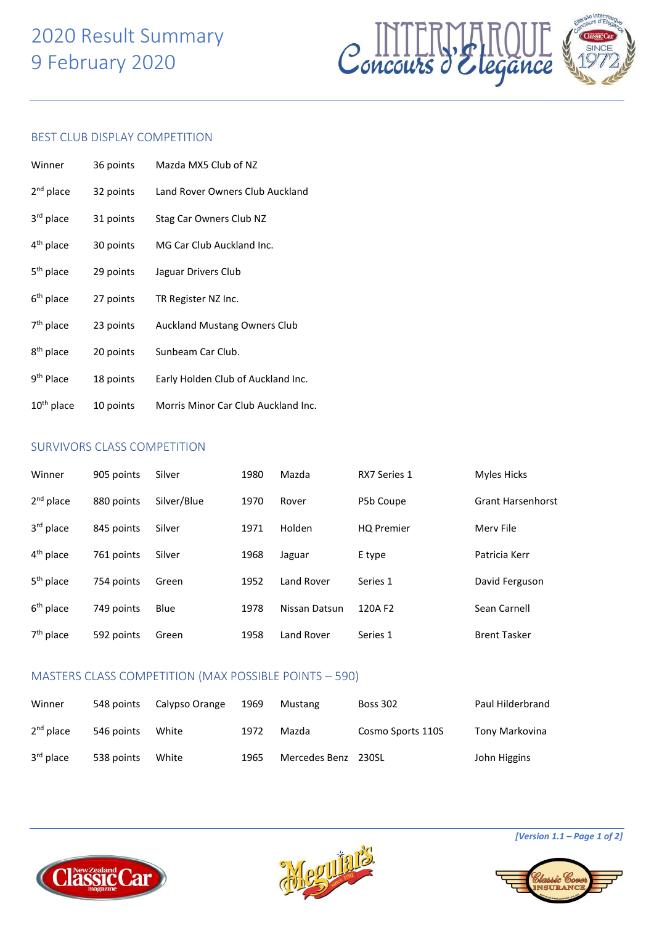# 2020 Result Summary 9 February 2020



### BEST CLUB DISPLAY COMPETITION

| Winner                 | 36 points | Mazda MX5 Club of NZ                |
|------------------------|-----------|-------------------------------------|
| 2 <sup>nd</sup> place  | 32 points | Land Rover Owners Club Auckland     |
| 3rd place              | 31 points | Stag Car Owners Club NZ             |
| 4 <sup>th</sup> place  | 30 points | MG Car Club Auckland Inc.           |
| 5 <sup>th</sup> place  | 29 points | Jaguar Drivers Club                 |
| $6th$ place            | 27 points | TR Register NZ Inc.                 |
| 7 <sup>th</sup> place  | 23 points | <b>Auckland Mustang Owners Club</b> |
| 8 <sup>th</sup> place  | 20 points | Sunbeam Car Club.                   |
| 9 <sup>th</sup> Place  | 18 points | Early Holden Club of Auckland Inc.  |
| 10 <sup>th</sup> place | 10 points | Morris Minor Car Club Auckland Inc. |

### SURVIVORS CLASS COMPETITION

| Winner                | 905 points | Silver      | 1980 | Mazda         | RX7 Series 1      | <b>Myles Hicks</b>       |
|-----------------------|------------|-------------|------|---------------|-------------------|--------------------------|
| $2nd$ place           | 880 points | Silver/Blue | 1970 | Rover         | P5b Coupe         | <b>Grant Harsenhorst</b> |
| 3rd place             | 845 points | Silver      | 1971 | Holden        | <b>HQ Premier</b> | Mery File                |
| 4 <sup>th</sup> place | 761 points | Silver      | 1968 | Jaguar        | E type            | Patricia Kerr            |
| 5 <sup>th</sup> place | 754 points | Green       | 1952 | Land Rover    | Series 1          | David Ferguson           |
| $6th$ place           | 749 points | Blue        | 1978 | Nissan Datsun | 120A F2           | Sean Carnell             |
| $7th$ place           | 592 points | Green       | 1958 | Land Rover    | Series 1          | <b>Brent Tasker</b>      |

### MASTERS CLASS COMPETITION (MAX POSSIBLE POINTS – 590)

| Winner                | 548 points | Calypso Orange | 1969 | Mustang       | <b>Boss 302</b>   | Paul Hilderbrand |
|-----------------------|------------|----------------|------|---------------|-------------------|------------------|
| $2nd$ place           | 546 points | White          | 1972 | Mazda         | Cosmo Sports 110S | Tony Markovina   |
| 3 <sup>rd</sup> place | 538 points | White          | 1965 | Mercedes Benz | 230SL             | John Higgins     |